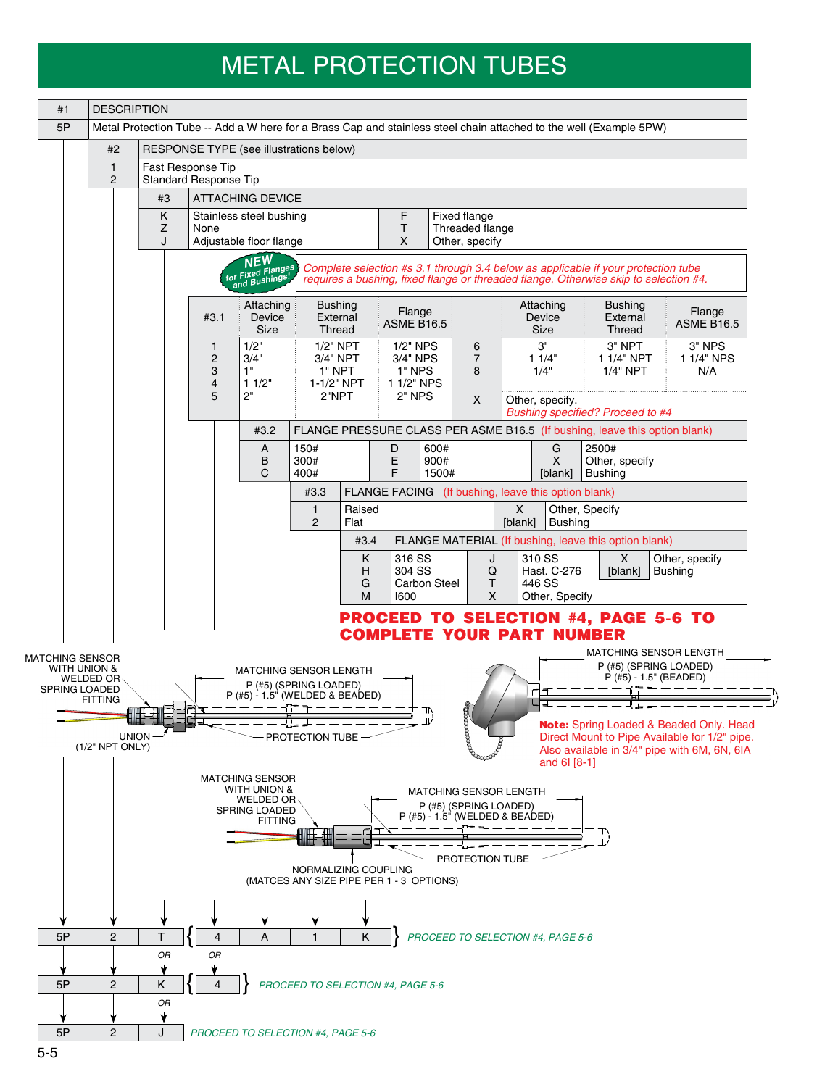## METAL PROTECTION TUBES